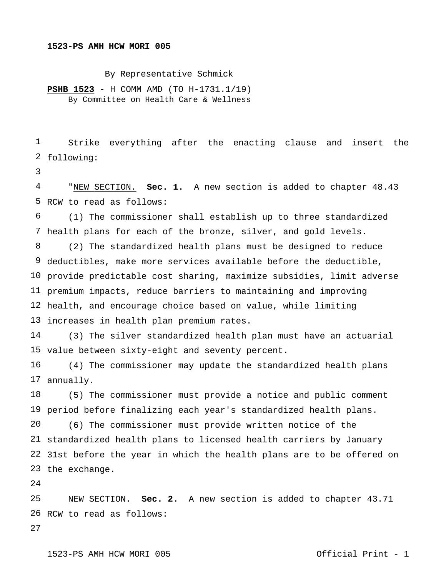## **1523-PS AMH HCW MORI 005**

By Representative Schmick

**PSHB 1523** - H COMM AMD (TO H-1731.1/19) By Committee on Health Care & Wellness

 following: Strike everything after the enacting clause and insert the

 RCW to read as follows: "NEW SECTION. **Sec. 1.** A new section is added to chapter 48.43

 health plans for each of the bronze, silver, and gold levels. (1) The commissioner shall establish up to three standardized

 deductibles, make more services available before the deductible, provide predictable cost sharing, maximize subsidies, limit adverse premium impacts, reduce barriers to maintaining and improving health, and encourage choice based on value, while limiting increases in health plan premium rates. (2) The standardized health plans must be designed to reduce

 value between sixty-eight and seventy percent. (3) The silver standardized health plan must have an actuarial

 annually. (4) The commissioner may update the standardized health plans

 period before finalizing each year's standardized health plans. standardized health plans to licensed health carriers by January 31st before the year in which the health plans are to be offered on the exchange. (5) The commissioner must provide a notice and public comment (6) The commissioner must provide written notice of the

 RCW to read as follows: NEW SECTION. **Sec. 2.** A new section is added to chapter 43.71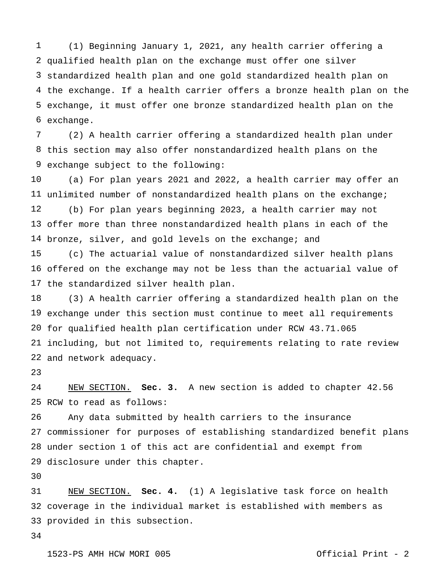qualified health plan on the exchange must offer one silver standardized health plan and one gold standardized health plan on the exchange. If a health carrier offers a bronze health plan on the exchange, it must offer one bronze standardized health plan on the exchange. (1) Beginning January 1, 2021, any health carrier offering a

 this section may also offer nonstandardized health plans on the exchange subject to the following: (2) A health carrier offering a standardized health plan under

 unlimited number of nonstandardized health plans on the exchange; offer more than three nonstandardized health plans in each of the bronze, silver, and gold levels on the exchange; and (a) For plan years 2021 and 2022, a health carrier may offer an (b) For plan years beginning 2023, a health carrier may not

 offered on the exchange may not be less than the actuarial value of the standardized silver health plan. (c) The actuarial value of nonstandardized silver health plans

 exchange under this section must continue to meet all requirements for qualified health plan certification under RCW 43.71.065 including, but not limited to, requirements relating to rate review and network adequacy. (3) A health carrier offering a standardized health plan on the

 RCW to read as follows: NEW SECTION. **Sec. 3.** A new section is added to chapter 42.56

 commissioner for purposes of establishing standardized benefit plans under section 1 of this act are confidential and exempt from disclosure under this chapter. Any data submitted by health carriers to the insurance

 coverage in the individual market is established with members as provided in this subsection.NEW SECTION. **Sec. 4.** (1) A legislative task force on health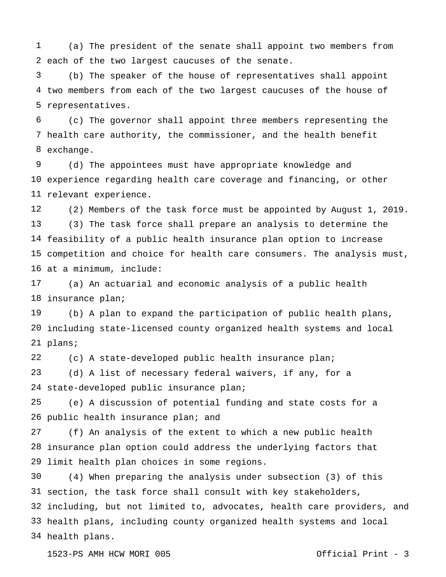each of the two largest caucuses of the senate. (a) The president of the senate shall appoint two members from

 two members from each of the two largest caucuses of the house of representatives. (b) The speaker of the house of representatives shall appoint

 health care authority, the commissioner, and the health benefit exchange. (c) The governor shall appoint three members representing the

 experience regarding health care coverage and financing, or other relevant experience. (d) The appointees must have appropriate knowledge and

 feasibility of a public health insurance plan option to increase competition and choice for health care consumers. The analysis must, at a minimum, include: (2) Members of the task force must be appointed by August 1, 2019. (3) The task force shall prepare an analysis to determine the

 insurance plan; (a) An actuarial and economic analysis of a public health

 including state-licensed county organized health systems and local plans; (b) A plan to expand the participation of public health plans,

 (c) A state-developed public health insurance plan;

 state-developed public insurance plan; (d) A list of necessary federal waivers, if any, for a

 26 public health insurance plan; and (e) A discussion of potential funding and state costs for a

 insurance plan option could address the underlying factors that limit health plan choices in some regions. (f) An analysis of the extent to which a new public health

 section, the task force shall consult with key stakeholders, including, but not limited to, advocates, health care providers, and health plans, including county organized health systems and local health plans.(4) When preparing the analysis under subsection (3) of this

1523-PS AMH HCW MORI 005 Official Print - 3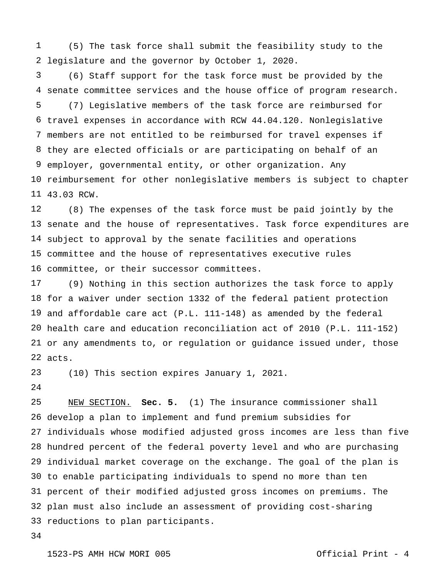legislature and the governor by October 1, 2020. (5) The task force shall submit the feasibility study to the

 senate committee services and the house office of program research. travel expenses in accordance with RCW 44.04.120. Nonlegislative members are not entitled to be reimbursed for travel expenses if they are elected officials or are participating on behalf of an employer, governmental entity, or other organization. Any reimbursement for other nonlegislative members is subject to chapter 43.03 RCW. (6) Staff support for the task force must be provided by the (7) Legislative members of the task force are reimbursed for

 senate and the house of representatives. Task force expenditures are subject to approval by the senate facilities and operations committee and the house of representatives executive rules committee, or their successor committees. (8) The expenses of the task force must be paid jointly by the

 for a waiver under section 1332 of the federal patient protection and affordable care act (P.L. 111-148) as amended by the federal health care and education reconciliation act of 2010 (P.L. 111-152) or any amendments to, or regulation or guidance issued under, those acts. (9) Nothing in this section authorizes the task force to apply

 (10) This section expires January 1, 2021.

 develop a plan to implement and fund premium subsidies for individuals whose modified adjusted gross incomes are less than five hundred percent of the federal poverty level and who are purchasing individual market coverage on the exchange. The goal of the plan is to enable participating individuals to spend no more than ten percent of their modified adjusted gross incomes on premiums. The plan must also include an assessment of providing cost-sharing reductions to plan participants.NEW SECTION. **Sec. 5.** (1) The insurance commissioner shall